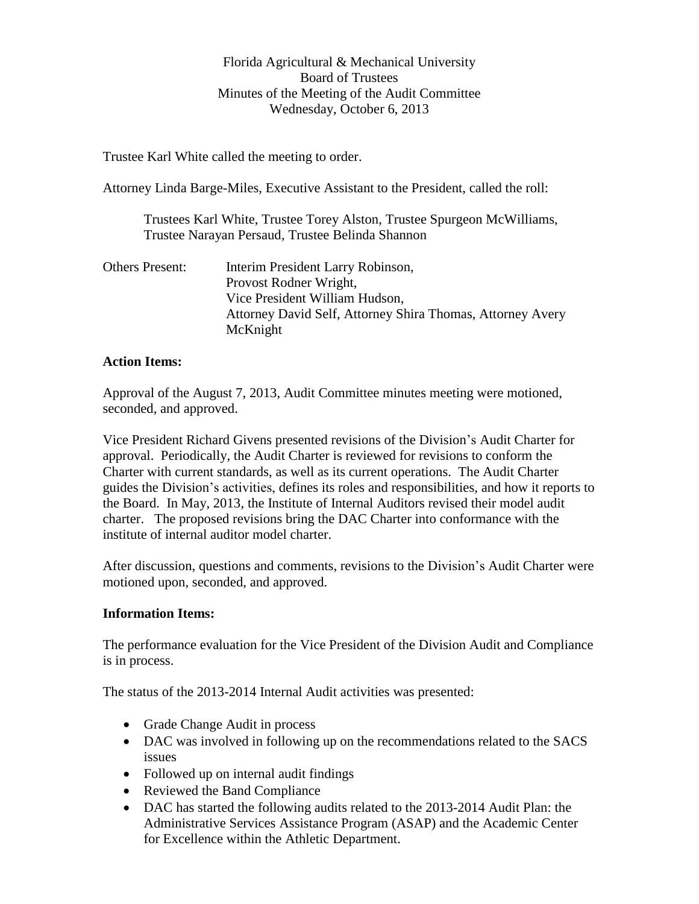## Florida Agricultural & Mechanical University Board of Trustees Minutes of the Meeting of the Audit Committee Wednesday, October 6, 2013

Trustee Karl White called the meeting to order.

Attorney Linda Barge-Miles, Executive Assistant to the President, called the roll:

Trustees Karl White, Trustee Torey Alston, Trustee Spurgeon McWilliams, Trustee Narayan Persaud, Trustee Belinda Shannon

Others Present: Interim President Larry Robinson, Provost Rodner Wright, Vice President William Hudson, Attorney David Self, Attorney Shira Thomas, Attorney Avery McKnight

## **Action Items:**

Approval of the August 7, 2013, Audit Committee minutes meeting were motioned, seconded, and approved.

Vice President Richard Givens presented revisions of the Division's Audit Charter for approval. Periodically, the Audit Charter is reviewed for revisions to conform the Charter with current standards, as well as its current operations. The Audit Charter guides the Division's activities, defines its roles and responsibilities, and how it reports to the Board. In May, 2013, the Institute of Internal Auditors revised their model audit charter. The proposed revisions bring the DAC Charter into conformance with the institute of internal auditor model charter.

After discussion, questions and comments, revisions to the Division's Audit Charter were motioned upon, seconded, and approved.

## **Information Items:**

The performance evaluation for the Vice President of the Division Audit and Compliance is in process.

The status of the 2013-2014 Internal Audit activities was presented:

- Grade Change Audit in process
- DAC was involved in following up on the recommendations related to the SACS issues
- Followed up on internal audit findings
- Reviewed the Band Compliance
- DAC has started the following audits related to the 2013-2014 Audit Plan: the Administrative Services Assistance Program (ASAP) and the Academic Center for Excellence within the Athletic Department.